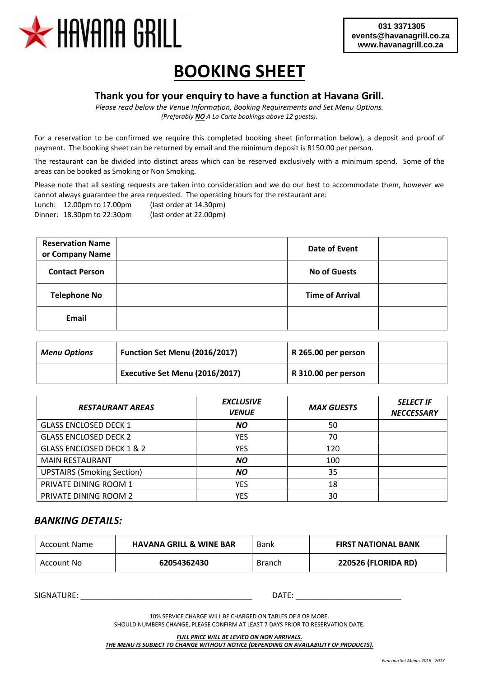

# **BOOKING SHEET**

#### **Thank you for your enquiry to have a function at Havana Grill.**

*Please read below the Venue Information, Booking Requirements and Set Menu Options. (Preferably NO A La Carte bookings above 12 guests).*

For a reservation to be confirmed we require this completed booking sheet (information below), a deposit and proof of payment. The booking sheet can be returned by email and the minimum deposit is R150.00 per person.

The restaurant can be divided into distinct areas which can be reserved exclusively with a minimum spend. Some of the areas can be booked as Smoking or Non Smoking.

Please note that all seating requests are taken into consideration and we do our best to accommodate them, however we cannot always guarantee the area requested. The operating hours for the restaurant are: Lunch: 12.00pm to 17.00pm (last order at 14.30pm)

Dinner: 18.30pm to 22:30pm (last order at 22.00pm)

| <b>Reservation Name</b><br>or Company Name | <b>Date of Event</b>   |  |
|--------------------------------------------|------------------------|--|
| <b>Contact Person</b>                      | <b>No of Guests</b>    |  |
| <b>Telephone No</b>                        | <b>Time of Arrival</b> |  |
| Email                                      |                        |  |

| <b>Menu Options</b> | Function Set Menu (2016/2017)  | R 265.00 per person |  |
|---------------------|--------------------------------|---------------------|--|
|                     | Executive Set Menu (2016/2017) | R 310.00 per person |  |

| <b>RESTAURANT AREAS</b>              | <b>EXCLUSIVE</b><br><b>VENUE</b> | <b>MAX GUESTS</b> | <b>SELECT IF</b><br><b>NECCESSARY</b> |
|--------------------------------------|----------------------------------|-------------------|---------------------------------------|
| <b>GLASS ENCLOSED DECK 1</b>         | <b>NO</b>                        | 50                |                                       |
| <b>GLASS ENCLOSED DECK 2</b>         | <b>YES</b>                       | 70                |                                       |
| <b>GLASS ENCLOSED DECK 1 &amp; 2</b> | <b>YES</b>                       | 120               |                                       |
| <b>MAIN RESTAURANT</b>               | <b>NO</b>                        | 100               |                                       |
| <b>UPSTAIRS (Smoking Section)</b>    | <b>NO</b>                        | 35                |                                       |
| PRIVATE DINING ROOM 1                | <b>YES</b>                       | 18                |                                       |
| PRIVATE DINING ROOM 2                | YES                              | 30                |                                       |

#### *BANKING DETAILS:*

| Account Name | <b>HAVANA GRILL &amp; WINE BAR</b> | Bank          | <b>FIRST NATIONAL BANK</b> |
|--------------|------------------------------------|---------------|----------------------------|
| Account No   | 62054362430                        | <b>Branch</b> | <b>220526 (FLORIDA RD)</b> |

SIGNATURE: \_\_\_\_\_\_\_\_\_\_\_\_\_\_\_\_\_\_\_\_\_\_\_\_\_\_\_\_\_\_\_\_\_\_\_\_\_\_\_ DATE: \_\_\_\_\_\_\_\_\_\_\_\_\_\_\_\_\_\_\_\_\_\_\_\_

10% SERVICE CHARGE WILL BE CHARGED ON TABLES OF 8 OR MORE. SHOULD NUMBERS CHANGE, PLEASE CONFIRM AT LEAST 7 DAYS PRIOR TO RESERVATION DATE.

*FULL PRICE WILL BE LEVIED ON NON ARRIVALS. THE MENU IS SUBJECT TO CHANGE WITHOUT NOTICE (DEPENDING ON AVAILABILITY OF PRODUCTS).*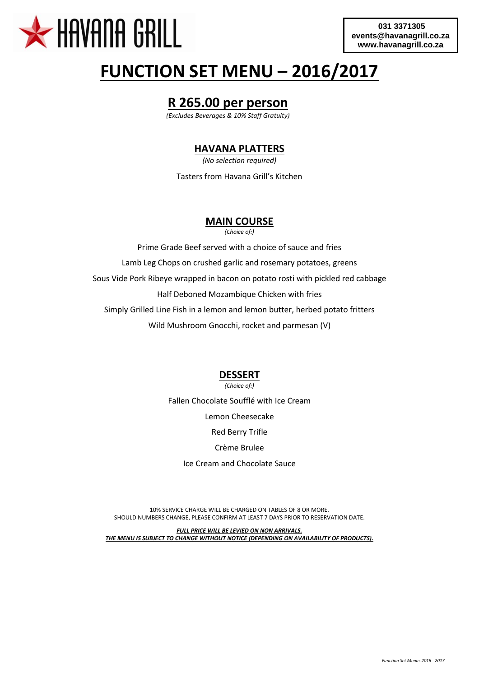

# **FUNCTION SET MENU – 2016/2017**

# **R 265.00 per person**

*(Excludes Beverages & 10% Staff Gratuity)*

#### **HAVANA PLATTERS**

*(No selection required)*

Tasters from Havana Grill's Kitchen

## **MAIN COURSE**

*(Choice of:)*

Prime Grade Beef served with a choice of sauce and fries Lamb Leg Chops on crushed garlic and rosemary potatoes, greens Sous Vide Pork Ribeye wrapped in bacon on potato rosti with pickled red cabbage Half Deboned Mozambique Chicken with fries Simply Grilled Line Fish in a lemon and lemon butter, herbed potato fritters Wild Mushroom Gnocchi, rocket and parmesan (V)

## **DESSERT**

*(Choice of:)*

Fallen Chocolate Soufflé with Ice Cream Lemon Cheesecake Red Berry Trifle Crème Brulee Ice Cream and Chocolate Sauce

10% SERVICE CHARGE WILL BE CHARGED ON TABLES OF 8 OR MORE. SHOULD NUMBERS CHANGE, PLEASE CONFIRM AT LEAST 7 DAYS PRIOR TO RESERVATION DATE.

*FULL PRICE WILL BE LEVIED ON NON ARRIVALS. THE MENU IS SUBJECT TO CHANGE WITHOUT NOTICE (DEPENDING ON AVAILABILITY OF PRODUCTS).*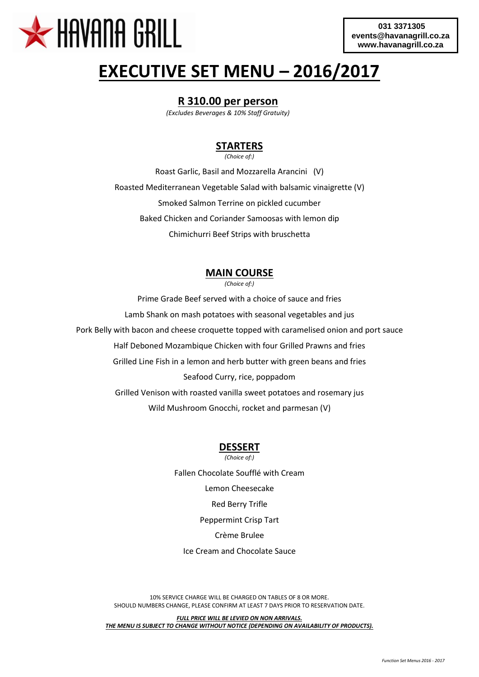

# **EXECUTIVE SET MENU – 2016/2017**

#### **R 310.00 per person**

*(Excludes Beverages & 10% Staff Gratuity)*

### **STARTERS**

*(Choice of:)*

Roast Garlic, Basil and Mozzarella Arancini (V) Roasted Mediterranean Vegetable Salad with balsamic vinaigrette (V) Smoked Salmon Terrine on pickled cucumber Baked Chicken and Coriander Samoosas with lemon dip Chimichurri Beef Strips with bruschetta

## **MAIN COURSE**

*(Choice of:)*

Prime Grade Beef served with a choice of sauce and fries Lamb Shank on mash potatoes with seasonal vegetables and jus Pork Belly with bacon and cheese croquette topped with caramelised onion and port sauce Half Deboned Mozambique Chicken with four Grilled Prawns and fries Grilled Line Fish in a lemon and herb butter with green beans and fries Seafood Curry, rice, poppadom Grilled Venison with roasted vanilla sweet potatoes and rosemary jus Wild Mushroom Gnocchi, rocket and parmesan (V)

### **DESSERT**

*(Choice of:)* Fallen Chocolate Soufflé with Cream Lemon Cheesecake Red Berry Trifle Peppermint Crisp Tart Crème Brulee Ice Cream and Chocolate Sauce

10% SERVICE CHARGE WILL BE CHARGED ON TABLES OF 8 OR MORE. SHOULD NUMBERS CHANGE, PLEASE CONFIRM AT LEAST 7 DAYS PRIOR TO RESERVATION DATE.

*FULL PRICE WILL BE LEVIED ON NON ARRIVALS. THE MENU IS SUBJECT TO CHANGE WITHOUT NOTICE (DEPENDING ON AVAILABILITY OF PRODUCTS).*